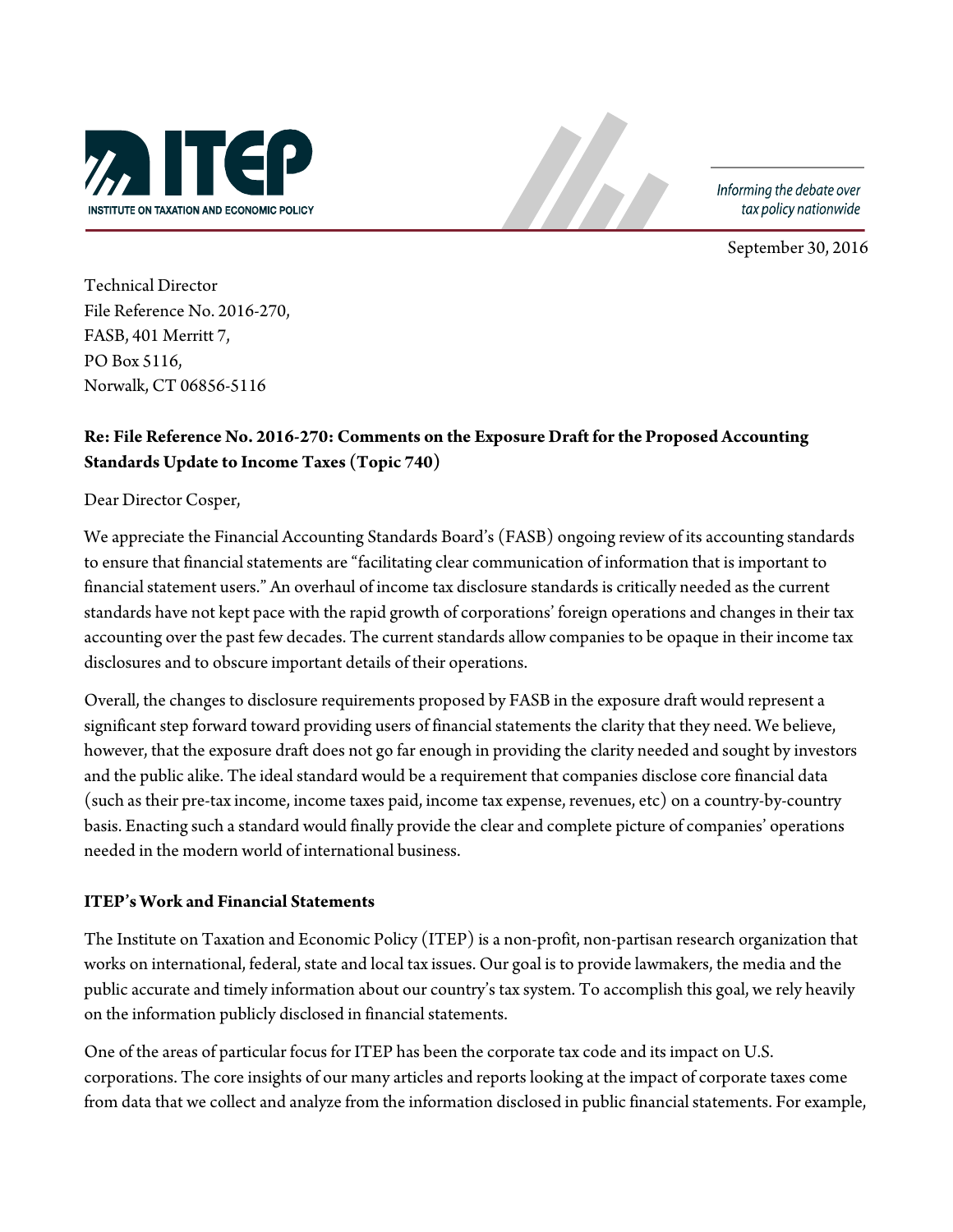

Informing the debate over tax policy nationwide

September 30, 2016

Technical Director File Reference No. 2016-270, FASB, 401 Merritt 7, PO Box 5116, Norwalk, CT 06856-5116

# **Re: File Reference No. 2016-270: Comments on the Exposure Draft for the Proposed Accounting Standards Update to Income Taxes (Topic 740)**

Dear Director Cosper,

We appreciate the Financial Accounting Standards Board's (FASB) ongoing review of its accounting standards to ensure that financial statements are "facilitating clear communication of information that is important to financial statement users." An overhaul of income tax disclosure standards is critically needed as the current standards have not kept pace with the rapid growth of corporations' foreign operations and changes in their tax accounting over the past few decades. The current standards allow companies to be opaque in their income tax disclosures and to obscure important details of their operations.

Overall, the changes to disclosure requirements proposed by FASB in the exposure draft would represent a significant step forward toward providing users of financial statements the clarity that they need. We believe, however, that the exposure draft does not go far enough in providing the clarity needed and sought by investors and the public alike. The ideal standard would be a requirement that companies disclose core financial data (such as their pre-taxincome, income taxes paid, income tax expense, revenues, etc) on a country-by-country basis. Enacting such a standard would finally provide the clear and complete picture of companies' operations needed in the modern world of international business.

#### **ITEP's Work and Financial Statements**

The Institute on Taxation and Economic Policy (ITEP) is a non-profit, non-partisan research organization that works on international, federal, state and local tax issues. Our goal is to provide lawmakers, the media and the public accurate and timely information about our country's tax system. To accomplish this goal, we rely heavily on the information publicly disclosed in financial statements.

One of the areas of particular focus for ITEP has been the corporate tax code and its impact on U.S. corporations. The core insights of our many articles and reports looking at the impact of corporate taxes come from data that we collect and analyze from the information disclosed in public financial statements. For example,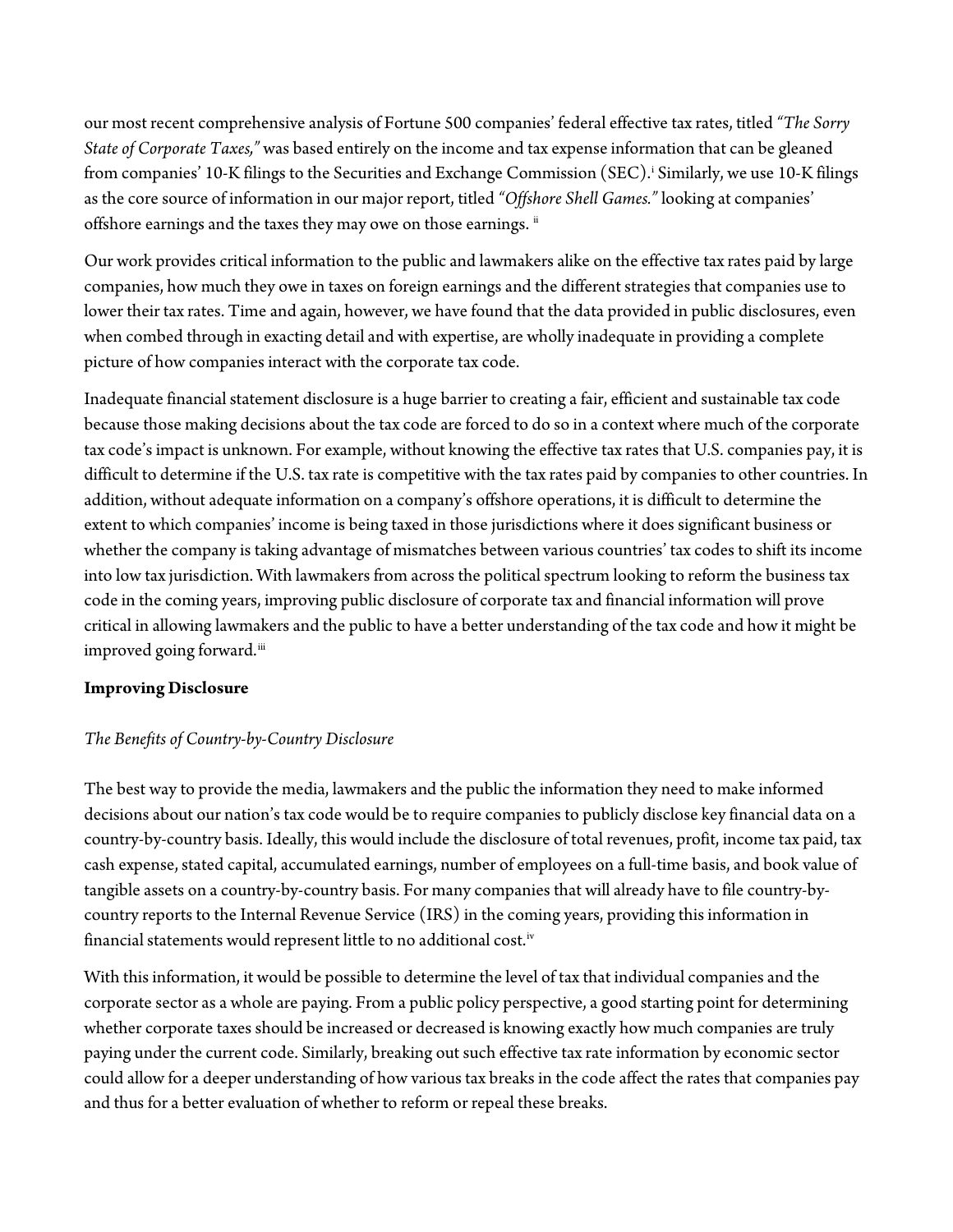our most recent comprehensive analysis of Fortune 500 companies' federal effective tax rates, titled *"The Sorry State of Corporate Taxes,"* was based entirely on the income and tax expense information that can be gleaned from compan[i](#page-3-0)es' 10-K filings to the Securities and Exchange Commission (SEC).<sup>:</sup> Similarly, we use 10-K filings as the core source of information in our major report, titled *"Offshore Shell Games."* looking at companies' offshore earnings and the taxes they may owe on those earnings. [ii](#page-3-1)

Our work provides critical information to the public and lawmakers alike on the effective taxrates paid by large companies, how much they owe in taxes on foreign earnings and the different strategies that companies use to lower their tax rates. Time and again, however, we have found that the data provided in public disclosures, even when combed through in exacting detail and with expertise, are wholly inadequate in providing a complete picture of how companies interact with the corporate tax code.

Inadequate financial statement disclosure is a huge barrier to creating a fair, efficient and sustainable tax code because those making decisions about the tax code are forced to do so in a context where much of the corporate tax code's impact is unknown. For example, without knowing the effective tax rates that U.S. companies pay, it is difficult to determine if the U.S. tax rate is competitive with the tax rates paid by companies to other countries. In addition, without adequate information on a company's offshore operations, it is difficult to determine the extent to which companies' income is being taxed in those jurisdictions where it does significant business or whether the company is taking advantage of mismatches between various countries' tax codes to shift its income into low tax jurisdiction. With lawmakers from across the political spectrum looking to reform the business tax code in the coming years, improving public disclosure of corporate tax and financial information will prove critical in allowing lawmakers and the public to have a better understanding of the tax code and how it might be improved going forward.<sup>[iii](#page-3-2)</sup>

### **Improving Disclosure**

## *The Benefits of Country-by-Country Disclosure*

The best way to provide the media, lawmakers and the public the information they need to make informed decisions about our nation's tax code would be to require companies to publicly disclose key financial data on a country-by-country basis. Ideally, this would include the disclosure of total revenues, profit, income tax paid, tax cash expense, stated capital, accumulated earnings, number of employees on a full-time basis, and book value of tangible assets on a country-by-country basis. For many companies that will already have to file country-bycountry reports to the Internal Revenue Service (IRS) in the coming years, providing this information in financial statements would represent little to no additional cost.<sup>[iv](#page-3-3)</sup>

With this information, it would be possible to determine the level of tax that individual companies and the corporate sector as a whole are paying. From a public policy perspective, a good starting point for determining whether corporate taxes should be increased or decreased is knowing exactly how much companies are truly paying under the current code. Similarly, breaking out such effective tax rate information by economic sector could allow for a deeper understanding of how various tax breaks in the code affect the rates that companies pay and thus for a better evaluation of whether to reform or repeal these breaks.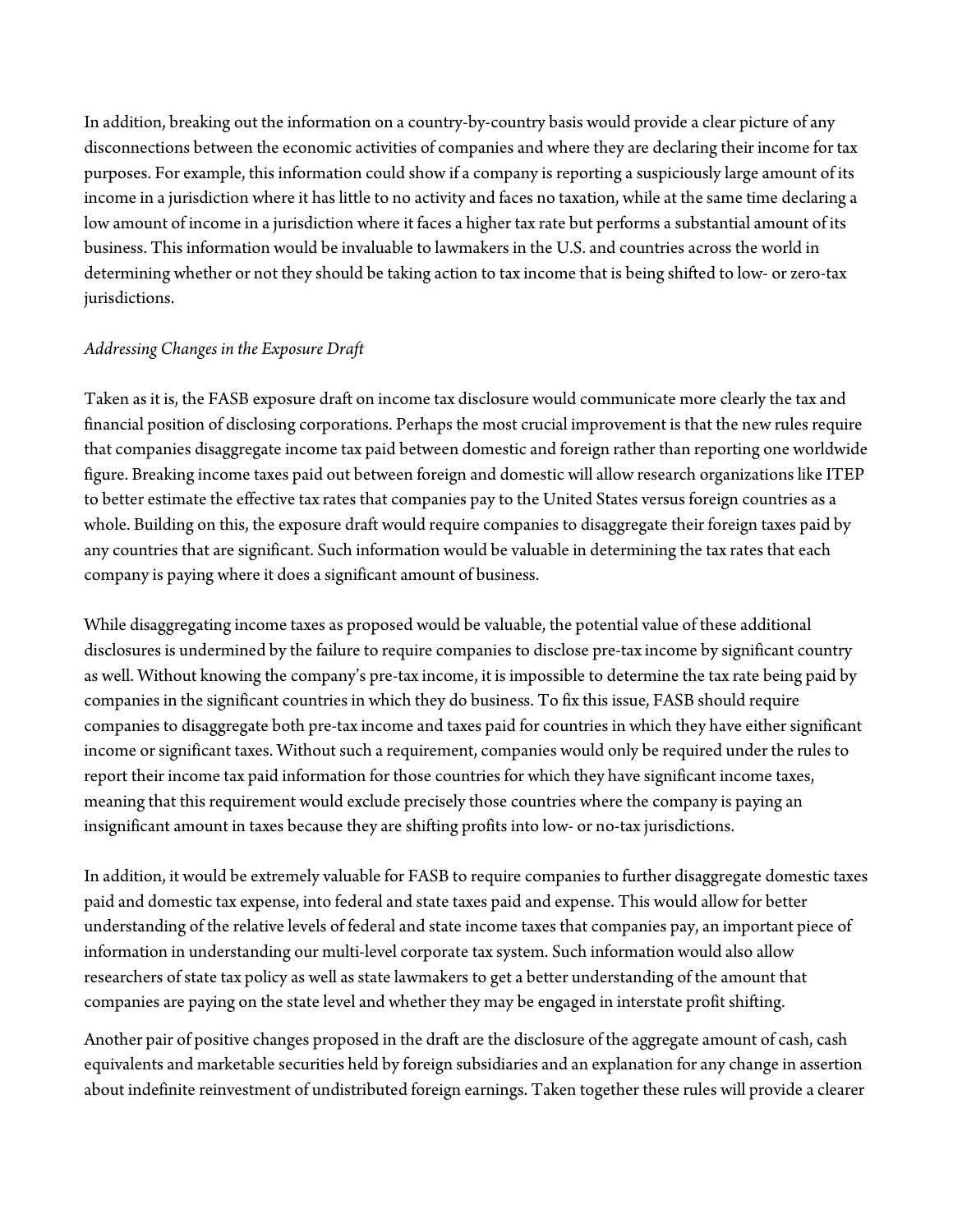In addition, breaking out the information on a country-by-country basis would provide a clear picture of any disconnections between the economic activities of companies and where they are declaring their income for tax purposes. For example, this information could show if a company is reporting a suspiciously large amount of its income in a jurisdiction where it has little to no activity and faces no taxation, while at the same time declaring a low amount of income in a jurisdiction where it faces a higher tax rate but performs a substantial amount of its business. This information would be invaluable to lawmakers in the U.S. and countries across the world in determining whether or not they should be taking action to taxincome that is being shifted to low- or zero-tax jurisdictions.

### *Addressing Changes in the Exposure Draft*

Taken as it is, the FASB exposure draft on income tax disclosure would communicate more clearly the tax and financial position of disclosing corporations. Perhaps the most crucial improvement is that the new rules require that companies disaggregate income tax paid between domestic and foreign rather than reporting one worldwide figure. Breaking income taxes paid out between foreign and domestic will allow research organizations like ITEP to better estimate the effective tax rates that companies pay to the United States versus foreign countries as a whole. Building on this, the exposure draft would require companies to disaggregate their foreign taxes paid by any countries that are significant. Such information would be valuable in determining the tax rates that each company is paying where it does a significant amount of business.

While disaggregating income taxes as proposed would be valuable, the potential value of these additional disclosures is undermined by the failure to require companies to disclose pre-tax income by significant country as well. Without knowing the company's pre-tax income, it is impossible to determine the tax rate being paid by companies in the significant countries in which they do business. To fix this issue, FASB should require companies to disaggregate both pre-tax income and taxes paid for countries in which they have either significant income or significant taxes. Without such a requirement, companies would only be required under the rules to report their income tax paid information for those countries for which they have significant income taxes, meaning that this requirement would exclude precisely those countries where the company is paying an insignificant amount in taxes because they are shifting profits into low- or no-tax jurisdictions.

In addition, it would be extremely valuable for FASB to require companies to further disaggregate domestic taxes paid and domestic tax expense, into federal and state taxes paid and expense. This would allow for better understanding of the relative levels of federal and state income taxes that companies pay, an important piece of information in understanding our multi-level corporate tax system. Such information would also allow researchers of state tax policy as well as state lawmakers to get a better understanding of the amount that companies are paying on the state level and whether they may be engaged in interstate profit shifting.

Another pair of positive changes proposed in the draft are the disclosure of the aggregate amount of cash, cash equivalents and marketable securities held by foreign subsidiaries and an explanation for any change in assertion about indefinite reinvestment of undistributed foreign earnings. Taken together these rules will provide a clearer